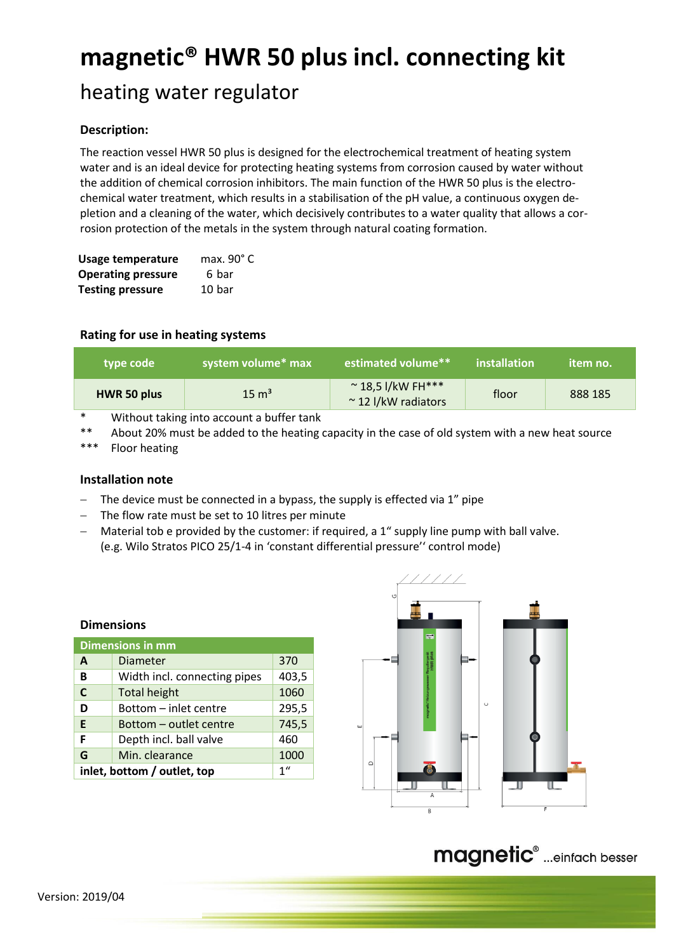# **magnetic® HWR 50 plus incl. connecting kit**

# heating water regulator

## **Description:**

The reaction vessel HWR 50 plus is designed for the electrochemical treatment of heating system water and is an ideal device for protecting heating systems from corrosion caused by water without the addition of chemical corrosion inhibitors. The main function of the HWR 50 plus is the electrochemical water treatment, which results in a stabilisation of the pH value, a continuous oxygen depletion and a cleaning of the water, which decisively contributes to a water quality that allows a corrosion protection of the metals in the system through natural coating formation.

| Usage temperature         | max. $90^{\circ}$ C |  |  |
|---------------------------|---------------------|--|--|
| <b>Operating pressure</b> | 6 bar               |  |  |
| <b>Testing pressure</b>   | 10 bar              |  |  |

### **Rating for use in heating systems**

| type code   | system volume* max | estimated volume**                                     | installation | item no. |
|-------------|--------------------|--------------------------------------------------------|--------------|----------|
| HWR 50 plus | $15 \text{ m}^3$   | $~^{\sim}$ 18,5 l/kW FH***<br>$\sim$ 12 I/kW radiators | floor        | 888 185  |

Without taking into account a buffer tank

\*\* About 20% must be added to the heating capacity in the case of old system with a new heat source

\*\*\* Floor heating

#### **Installation note**

**Dimensions**

- $-$  The device must be connected in a bypass, the supply is effected via 1" pipe
- The flow rate must be set to 10 litres per minute
- Material tob e provided by the customer: if required, a 1" supply line pump with ball valve. (e.g. Wilo Stratos PICO 25/1-4 in 'constant differential pressure'' control mode)

| <b>Dimensions in mm</b>                        |                              |       |  |
|------------------------------------------------|------------------------------|-------|--|
| A                                              | <b>Diameter</b>              | 370   |  |
| B                                              | Width incl. connecting pipes | 403,5 |  |
| C                                              | <b>Total height</b>          | 1060  |  |
| D                                              | Bottom - inlet centre        | 295,5 |  |
| E                                              | Bottom - outlet centre       | 745,5 |  |
| F                                              | Depth incl. ball valve       | 460   |  |
| G                                              | Min. clearance               | 1000  |  |
| 1 <sup>''</sup><br>inlet, bottom / outlet, top |                              |       |  |



# magnetic<sup>®</sup> ...einfach besser